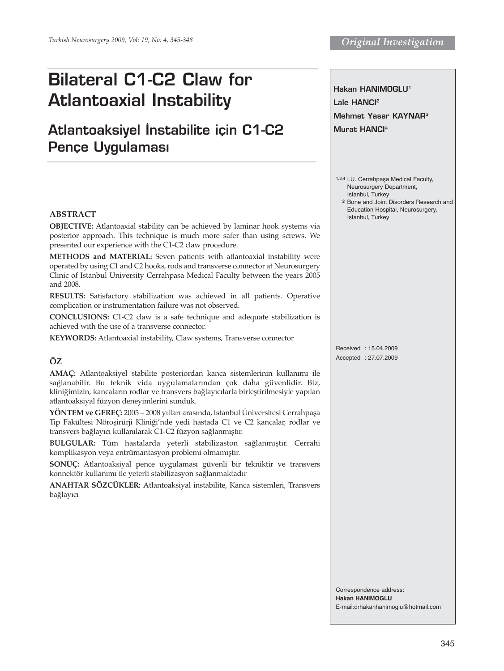# **Bilateral C1-C2 Claw for Atlantoaxial Instability**

# **Atlantoaksiyel İnstabilite için C1-C2 Pence Uvgulaması**

# **ABSTRACT**

**OBJECTIVE:** Atlantoaxial stability can be achieved by laminar hook systems via posterior approach. This technique is much more safer than using screws. We presented our experience with the C1-C2 claw procedure.

**METHODS and MATERIAL:** Seven patients with atlantoaxial instability were operated by using C1 and C2 hooks, rods and transverse connector at Neurosurgery Clinic of Istanbul University Cerrahpasa Medical Faculty between the years 2005 and 2008.

**RESULTS:** Satisfactory stabilization was achieved in all patients. Operative complication or instrumentation failure was not observed.

**CONCLUSIONS:** C1-C2 claw is a safe technique and adequate stabilization is achieved with the use of a transverse connector.

**KEYWORDS:** Atlantoaxial instability, Claw systems, Transverse connector

# **ÖZ**

**AMAÇ:** Atlantoaksiyel stabilite posteriordan kanca sistemlerinin kullanımı ile sağlanabilir. Bu teknik vida uygulamalarından çok daha güvenlidir. Biz, kliniğimizin, kancaların rodlar ve transvers bağlayıcılarla birleştirilmesiyle yapılan atlantoaksiyal füzyon deneyimlerini sunduk.

**YÖNTEM ve GEREÇ:** 2005 – 2008 yılları arasında, Istanbul Üniversitesi Cerrahpaşa Tip Fakültesi Nöroşirürji Kliniği'nde yedi hastada C1 ve C2 kancalar, rodlar ve transvers bağlayıcı kullanılarak C1-C2 füzyon sağlanmıştır.

**BULGULAR:** Tüm hastalarda yeterli stabilizaston sağlanmıştır. Cerrahi komplikasyon veya entrümantasyon problemi olmamıştır.

**SONUÇ:** Atlantoaksiyal pence uygulaması güvenli bir tekniktir ve transvers konnektör kullanımı ile yeterli stabilizasyon sağlanmaktadır

**ANAHTAR SÖZCÜKLER:** Atlantoaksiyal instabilite, Kanca sistemleri, Transvers bağlayıcı

**Hakan HANIMOGLU1 Lale HANCI2 Mehmet Yasar KAYNAR3 Murat HANCI4**

1,3,4 I.U. Cerrahpaşa Medical Faculty, Neurosurgery Department, Istanbul, Turkey

2 Bone and Joint Disorders Research and Education Hospital, Neurosurgery, Istanbul, Turkey

Received : 15.04.2009 Accepted : 27.07.2009

Correspondence address: **Hakan HANIMOGLU** E-mail:drhakanhanimoglu@hotmail.com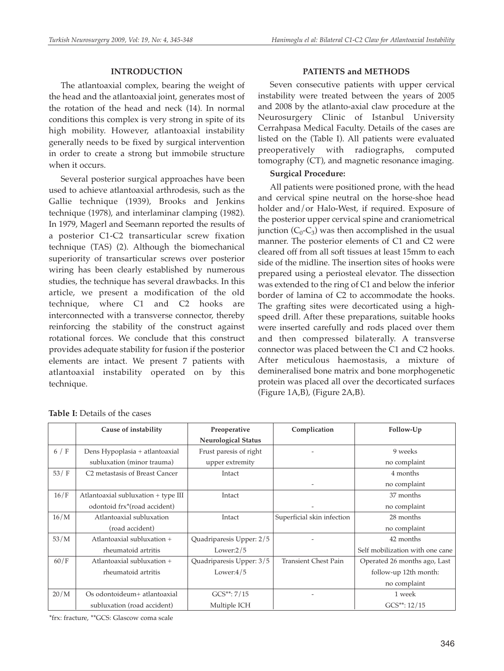# **INTRODUCTION**

The atlantoaxial complex, bearing the weight of the head and the atlantoaxial joint, generates most of the rotation of the head and neck (14). In normal conditions this complex is very strong in spite of its high mobility. However, atlantoaxial instability generally needs to be fixed by surgical intervention in order to create a strong but immobile structure when it occurs.

Several posterior surgical approaches have been used to achieve atlantoaxial arthrodesis, such as the Gallie technique (1939), Brooks and Jenkins technique (1978), and interlaminar clamping (1982). In 1979, Magerl and Seemann reported the results of a posterior C1-C2 transarticular screw fixation technique (TAS) (2). Although the biomechanical superiority of transarticular screws over posterior wiring has been clearly established by numerous studies, the technique has several drawbacks. In this article, we present a modification of the old technique, where  $C1$  and  $C2$  hooks interconnected with a transverse connector, thereby reinforcing the stability of the construct against rotational forces. We conclude that this construct provides adequate stability for fusion if the posterior elements are intact. We present 7 patients with atlantoaxial instability operated on by this technique.

# **PATIENTS and METHODS**

Seven consecutive patients with upper cervical instability were treated between the years of 2005 and 2008 by the atlanto-axial claw procedure at the Neurosurgery Clinic of Istanbul University Cerrahpasa Medical Faculty. Details of the cases are listed on the (Table I). All patients were evaluated preoperatively with radiographs, computed tomography (CT), and magnetic resonance imaging.

# **Surgical Procedure:**

All patients were positioned prone, with the head and cervical spine neutral on the horse-shoe head holder and/or Halo-West, if required. Exposure of the posterior upper cervical spine and craniometrical junction  $(C_0-C_3)$  was then accomplished in the usual manner. The posterior elements of C1 and C2 were cleared off from all soft tissues at least 15mm to each side of the midline. The insertion sites of hooks were prepared using a periosteal elevator. The dissection was extended to the ring of C1 and below the inferior border of lamina of C2 to accommodate the hooks. The grafting sites were decorticated using a highspeed drill. After these preparations, suitable hooks were inserted carefully and rods placed over them and then compressed bilaterally. A transverse connector was placed between the C1 and C2 hooks. After meticulous haemostasis, a mixture of demineralised bone matrix and bone morphogenetic protein was placed all over the decorticated surfaces (Figure 1A,B), (Figure 2A,B).

|       | Cause of instability                       | Preoperative               | Complication                | Follow-Up                       |
|-------|--------------------------------------------|----------------------------|-----------------------------|---------------------------------|
|       |                                            | <b>Neurological Status</b> |                             |                                 |
| 6/F   | Dens Hypoplasia + atlantoaxial             | Frust paresis of right     |                             | 9 weeks                         |
|       | subluxation (minor trauma)                 | upper extremity            |                             | no complaint                    |
| 53/ F | C <sub>2</sub> metastasis of Breast Cancer | Intact                     |                             | 4 months                        |
|       |                                            |                            | $\overline{\phantom{a}}$    | no complaint                    |
| 16/F  | Atlantoaxial subluxation + type III        | Intact                     |                             | 37 months                       |
|       | odontoid frx*(road accident)               |                            |                             | no complaint                    |
| 16/M  | Atlantoaxial subluxation                   | Intact                     | Superficial skin infection  | 28 months                       |
|       | (road accident)                            |                            |                             | no complaint                    |
| 53/M  | Atlantoaxial subluxation +                 | Quadriparesis Upper: 2/5   |                             | 42 months                       |
|       | rheumatoid artritis                        | Lower: $2/5$               |                             | Self mobilization with one cane |
| 60/F  | Atlantoaxial subluxation +                 | Quadriparesis Upper: 3/5   | <b>Transient Chest Pain</b> | Operated 26 months ago, Last    |
|       | rheumatoid artritis                        | Lower: $4/5$               |                             | follow-up 12th month:           |
|       |                                            |                            |                             | no complaint                    |
| 20/M  | Os odontoideum+ atlantoaxial               | $GCS^{**}: 7/15$           |                             | 1 week                          |
|       | subluxation (road accident)                | Multiple ICH               |                             | $GCS**: 12/15$                  |

#### **Table I:** Details of the cases

\*frx: fracture, \*\*GCS: Glascow coma scale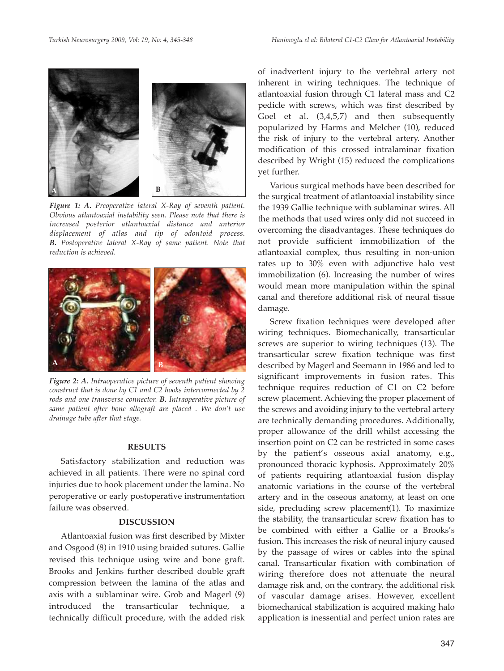

*Figure 1: A. Preoperative lateral X-Ray of seventh patient. Obvious atlantoaxial instability seen. Please note that there is increased posterior atlantoaxial distance and anterior displacement of atlas and tip of odontoid process. B. Postoperative lateral X-Ray of same patient. Note that reduction is achieved.* 



*Figure 2: A. Intraoperative picture of seventh patient showing construct that is done by C1 and C2 hooks interconnected by 2 rods and one transverse connector. B. Intraoperative picture of same patient after bone allograft are placed . We don't use drainage tube after that stage.*

#### **RESULTS**

Satisfactory stabilization and reduction was achieved in all patients. There were no spinal cord injuries due to hook placement under the lamina. No peroperative or early postoperative instrumentation failure was observed.

#### **DISCUSSION**

Atlantoaxial fusion was first described by Mixter and Osgood (8) in 1910 using braided sutures. Gallie revised this technique using wire and bone graft. Brooks and Jenkins further described double graft compression between the lamina of the atlas and axis with a sublaminar wire. Grob and Magerl (9) introduced the transarticular technique, a technically difficult procedure, with the added risk

of inadvertent injury to the vertebral artery not inherent in wiring techniques. The technique of atlantoaxial fusion through C1 lateral mass and C2 pedicle with screws, which was first described by Goel et al. (3,4,5,7) and then subsequently popularized by Harms and Melcher (10), reduced the risk of injury to the vertebral artery. Another modification of this crossed intralaminar fixation described by Wright (15) reduced the complications yet further.

Various surgical methods have been described for the surgical treatment of atlantoaxial instability since the 1939 Gallie technique with sublaminar wires. All the methods that used wires only did not succeed in overcoming the disadvantages. These techniques do not provide sufficient immobilization of the atlantoaxial complex, thus resulting in non-union rates up to 30% even with adjunctive halo vest immobilization (6). Increasing the number of wires would mean more manipulation within the spinal canal and therefore additional risk of neural tissue damage.

Screw fixation techniques were developed after wiring techniques. Biomechanically, transarticular screws are superior to wiring techniques (13). The transarticular screw fixation technique was first described by Magerl and Seemann in 1986 and led to significant improvements in fusion rates. This technique requires reduction of C1 on C2 before screw placement. Achieving the proper placement of the screws and avoiding injury to the vertebral artery are technically demanding procedures. Additionally, proper allowance of the drill whilst accessing the insertion point on C2 can be restricted in some cases by the patient's osseous axial anatomy, e.g., pronounced thoracic kyphosis. Approximately 20% of patients requiring atlantoaxial fusion display anatomic variations in the course of the vertebral artery and in the osseous anatomy, at least on one side, precluding screw placement(1). To maximize the stability, the transarticular screw fixation has to be combined with either a Gallie or a Brooks's fusion. This increases the risk of neural injury caused by the passage of wires or cables into the spinal canal. Transarticular fixation with combination of wiring therefore does not attenuate the neural damage risk and, on the contrary, the additional risk of vascular damage arises. However, excellent biomechanical stabilization is acquired making halo application is inessential and perfect union rates are